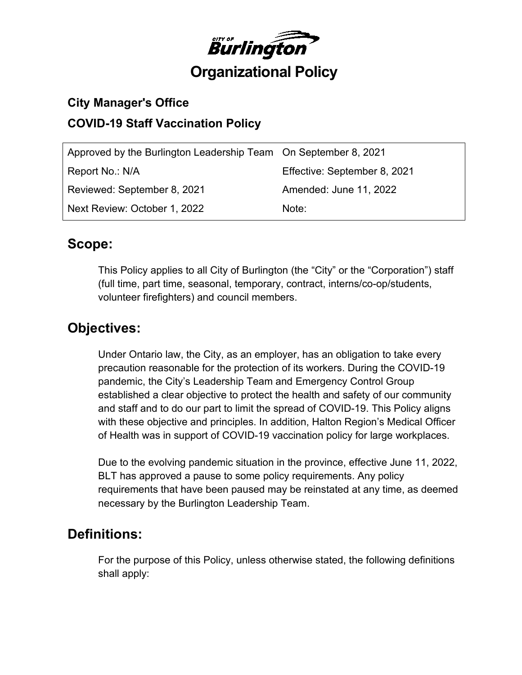

## **City Manager's Office COVID-19 Staff Vaccination Policy**

| Approved by the Burlington Leadership Team On September 8, 2021 |                              |
|-----------------------------------------------------------------|------------------------------|
| Report No.: N/A                                                 | Effective: September 8, 2021 |
| Reviewed: September 8, 2021                                     | Amended: June 11, 2022       |
| Next Review: October 1, 2022                                    | Note:                        |

## **Scope:**

This Policy applies to all City of Burlington (the "City" or the "Corporation") staff (full time, part time, seasonal, temporary, contract, interns/co-op/students, volunteer firefighters) and council members.

## **Objectives:**

Under Ontario law, the City, as an employer, has an obligation to take every precaution reasonable for the protection of its workers. During the COVID-19 pandemic, the City's Leadership Team and Emergency Control Group established a clear objective to protect the health and safety of our community and staff and to do our part to limit the spread of COVID-19. This Policy aligns with these objective and principles. In addition, Halton Region's Medical Officer of Health was in support of COVID-19 vaccination policy for large workplaces.

Due to the evolving pandemic situation in the province, effective June 11, 2022, BLT has approved a pause to some policy requirements. Any policy requirements that have been paused may be reinstated at any time, as deemed necessary by the Burlington Leadership Team.

## **Definitions:**

For the purpose of this Policy, unless otherwise stated, the following definitions shall apply: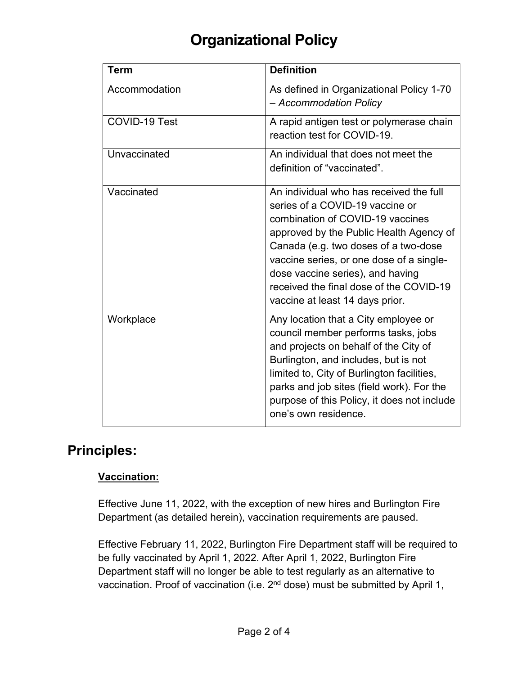| <b>Term</b>   | <b>Definition</b>                                                                                                                                                                                                                                                                                                                                               |
|---------------|-----------------------------------------------------------------------------------------------------------------------------------------------------------------------------------------------------------------------------------------------------------------------------------------------------------------------------------------------------------------|
| Accommodation | As defined in Organizational Policy 1-70<br>- Accommodation Policy                                                                                                                                                                                                                                                                                              |
| COVID-19 Test | A rapid antigen test or polymerase chain<br>reaction test for COVID-19.                                                                                                                                                                                                                                                                                         |
| Unvaccinated  | An individual that does not meet the<br>definition of "vaccinated".                                                                                                                                                                                                                                                                                             |
| Vaccinated    | An individual who has received the full<br>series of a COVID-19 vaccine or<br>combination of COVID-19 vaccines<br>approved by the Public Health Agency of<br>Canada (e.g. two doses of a two-dose<br>vaccine series, or one dose of a single-<br>dose vaccine series), and having<br>received the final dose of the COVID-19<br>vaccine at least 14 days prior. |
| Workplace     | Any location that a City employee or<br>council member performs tasks, jobs<br>and projects on behalf of the City of<br>Burlington, and includes, but is not<br>limited to, City of Burlington facilities,<br>parks and job sites (field work). For the<br>purpose of this Policy, it does not include<br>one's own residence.                                  |

## **Principles:**

#### **Vaccination:**

Effective June 11, 2022, with the exception of new hires and Burlington Fire Department (as detailed herein), vaccination requirements are paused.

Effective February 11, 2022, Burlington Fire Department staff will be required to be fully vaccinated by April 1, 2022. After April 1, 2022, Burlington Fire Department staff will no longer be able to test regularly as an alternative to vaccination. Proof of vaccination (i.e. 2<sup>nd</sup> dose) must be submitted by April 1,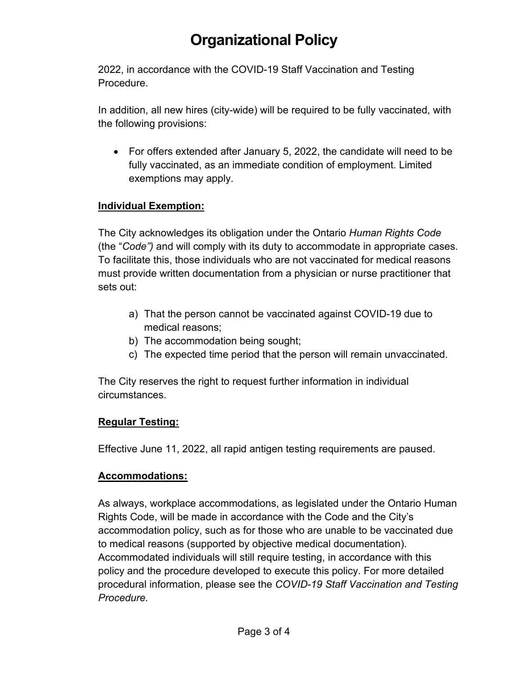2022, in accordance with the COVID-19 Staff Vaccination and Testing Procedure.

In addition, all new hires (city-wide) will be required to be fully vaccinated, with the following provisions:

• For offers extended after January 5, 2022, the candidate will need to be fully vaccinated, as an immediate condition of employment. Limited exemptions may apply.

#### **Individual Exemption:**

The City acknowledges its obligation under the Ontario *Human Rights Code* (the "*Code")* and will comply with its duty to accommodate in appropriate cases. To facilitate this, those individuals who are not vaccinated for medical reasons must provide written documentation from a physician or nurse practitioner that sets out:

- a) That the person cannot be vaccinated against COVID-19 due to medical reasons;
- b) The accommodation being sought;
- c) The expected time period that the person will remain unvaccinated.

The City reserves the right to request further information in individual circumstances.

#### **Regular Testing:**

Effective June 11, 2022, all rapid antigen testing requirements are paused.

#### **Accommodations:**

As always, workplace accommodations, as legislated under the Ontario Human Rights Code, will be made in accordance with the Code and the City's accommodation policy, such as for those who are unable to be vaccinated due to medical reasons (supported by objective medical documentation). Accommodated individuals will still require testing, in accordance with this policy and the procedure developed to execute this policy. For more detailed procedural information, please see the *COVID-19 Staff Vaccination and Testing Procedure.*